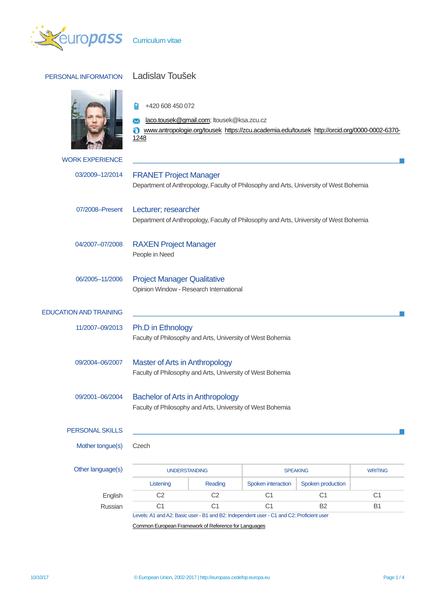

## PERSONAL INFORMATION Ladislav Toušek



 $\frac{1}{2}$  +420 608 450 072

**M** [laco.tousek@gmail.com;](mailto:laco.tousek@gmail.com) ltousek@ksa.zcu.cz

[www.antropologie.org/tousek](http://www.antropologie.org/tousek#_blank) [https://zcu.academia.edu/tousek](https://zcu.academia.edu/tousek#_blank) [http://orcid.org/0000-0002-6370-](http://orcid.org/0000-0002-6370-1248#_blank) [1248](http://orcid.org/0000-0002-6370-1248#_blank)

| <b>WORK EXPERIENCE</b>        |                                                                                                                         |                |                    |                   |                |
|-------------------------------|-------------------------------------------------------------------------------------------------------------------------|----------------|--------------------|-------------------|----------------|
| 03/2009-12/2014               | <b>FRANET Project Manager</b><br>Department of Anthropology, Faculty of Philosophy and Arts, University of West Bohemia |                |                    |                   |                |
| 07/2008-Present               | Lecturer; researcher<br>Department of Anthropology, Faculty of Philosophy and Arts, University of West Bohemia          |                |                    |                   |                |
| 04/2007-07/2008               | <b>RAXEN Project Manager</b><br>People in Need                                                                          |                |                    |                   |                |
| 06/2005-11/2006               | <b>Project Manager Qualitative</b><br>Opinion Window - Research International                                           |                |                    |                   |                |
| <b>EDUCATION AND TRAINING</b> |                                                                                                                         |                |                    |                   |                |
| 11/2007-09/2013               | Ph.D in Ethnology<br>Faculty of Philosophy and Arts, University of West Bohemia                                         |                |                    |                   |                |
| 09/2004-06/2007               | Master of Arts in Anthropology<br>Faculty of Philosophy and Arts, University of West Bohemia                            |                |                    |                   |                |
| 09/2001-06/2004               | <b>Bachelor of Arts in Anthropology</b><br>Faculty of Philosophy and Arts, University of West Bohemia                   |                |                    |                   |                |
| PERSONAL SKILLS               |                                                                                                                         |                |                    |                   |                |
| Mother tongue(s)              | Czech                                                                                                                   |                |                    |                   |                |
| Other language(s)             | <b>UNDERSTANDING</b>                                                                                                    |                | <b>SPEAKING</b>    |                   | <b>WRITING</b> |
|                               | Listening                                                                                                               | Reading        | Spoken interaction | Spoken production |                |
| English                       | C <sub>2</sub>                                                                                                          | C <sub>2</sub> | C <sub>1</sub>     | C <sub>1</sub>    | C <sub>1</sub> |
|                               |                                                                                                                         | C <sub>1</sub> | C <sub>1</sub>     |                   |                |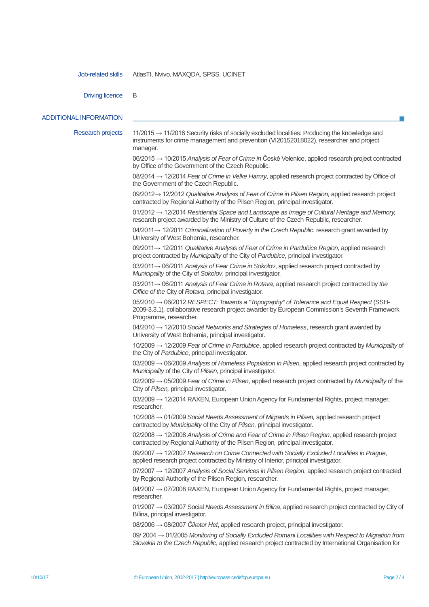Job-related skills AtlasTI, Nvivo, MAXQDA, SPSS, UCINET

Driving licence B

ADDITIONAL INFORMATION

Research projects 11/2015 → 11/2018 Security risks of socially excluded localities: Producing the knowledge and instruments for crime management and prevention (VI20152018022), researcher and project manager. 06/2015 → 10/2015 *Analysis of Fear of Crime in* České Velenice, applied research project contracted by Office of the Government of the Czech Republic. 08/2014 → 12/2014 *Fear of Crime in Velke Hamry*, applied research project contracted by Office of the Government of the Czech Republic. 09/2012→ 12/2012 *Qualitative Analysis of Fear of Crime in Pilsen Region,* applied research project contracted by Regional Authority of the Pilsen Region*,* principal investigator. 01/2012 → 12/2014 *Residential Space and Landscape as Image of Cultural Heritage and Memory,*  research project awarded by the Ministry of Culture of the Czech Republic, researcher. 04/2011→ 12/2011 *Criminalization of Poverty in the Czech Republic*, research grant awarded by University of West Bohemia, researcher. 09/2011→ 12/2011 *Qualitative Analysis of Fear of Crime in Pardubice Region,* applied research project contracted by *Municipality* of the City of *Pardubice*, principal investigator. 03/2011→ 06/2011 *Analysis of Fear Crime in Sokolov*, applied research project contracted by *Municipality* of the City of *Sokolov*, principal investigator. 03/2011→ 06/2011 *Analysis of Fear Crime in Rotava*, applied research project contracted by *the Office of the* City of *Rotava*, principal investigator. 05/2010 → 06/2012 *RESPECT: Towards a "Topography" of Tolerance and Equal Respect* (SSH-2009-3.3.1)*, c*ollaborative research project awarder by European Commission's Seventh Framework Programme, researcher. 04/2010 → 12/2010 *Social Networks and Strategies of Homeless*, research grant awarded by University of West Bohemia, principal investigator. 10/2009 → 12/2009 *Fear of Crime in Pardubice*, applied research project contracted by *Municipality* of the City of *Pardubice*, principal investigator. 03/2009 → 06/2009 *Analysis of Homeless Population in Pilsen,* applied research project contracted by *Municipality* of the City of *Pilsen,* principal investigator. 02/2009 → 05/2009 *Fear of Crime in Pilsen*, applied research project contracted by *Municipality* of the City of *Pilsen,* principal investigator. 03/2009 → 12/2014 RAXEN, European Union Agency for Fundamental Rights, project manager, researcher. 10/2008 → 01/2009 *Social Needs Assessment of Migrants in Pilsen,* applied research project contracted by *Municipality* of the City of *Pilsen,* principal investigator. 02/2008 → 12/2008 *Analysis of Crime and Fear of Crime in Pilsen* R*egion*, applied research project contracted by Regional Authority of the Pilsen Region*,* principal investigator. 09/2007 → 12/2007 *Research on Crime Connected with Socially Excluded Localities in Prague*, applied research project contracted by Ministry of Interior, principal investigator. 07/2007 → 12/2007 *Analysis of Social Services in Pilsen Region*, applied research project contracted by Regional Authority of the Pilsen Region, researcher.  $04/2007 \rightarrow 07/2008$  RAXEN, European Union Agency for Fundamental Rights, project manager, researcher. 01/2007 → 03/2007 Social *Needs Assessment in Bilina*, applied research project contracted by City of Bílina, principal investigator. 08/2006 → 08/2007 *Čikatar Het*, applied research project, principal investigator. 09/ 2004 → 01/2005 *Monitoring of Socially Excluded Romani Localities with Respect to Migration from Slovakia to the Czech Republic*, applied research project contracted by International Organisation for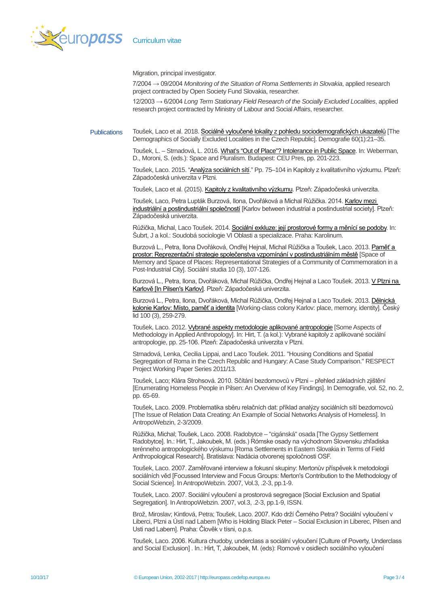

Migration, principal investigator.

7/2004 → 09/2004 *Monitoring of the Situation of Roma Settlements in Slovakia*, applied research project contracted by Open Society Fund Slovakia, researcher.

12/2003 → 6/2004 *Long Term Stationary Field Research of the Socially Excluded Localities*, applied research project contracted by Ministry of Labour and Social Affairs, researcher.

Publications Toušek, Laco et al. 2018. Sociálně vyloučené [lokality z pohledu sociodemografických u](https://www.academia.edu/36227038/Soci%C3%A1ln%C4%9B_vylou%C4%8Den%C3%A9_lokality_z_pohledu_socio-demografick%C3%BDch_ukazatel%C5%AF_The_Demographics_of_Socially_Excluded_Localities_in_the_Czech_Republic_)kazatelů [The Demographics of Socially Excluded Localities in the Czech Republic]. Demografie 60(1):21–35.

> Toušek, L. - Strnadová, L. 2016[. What's "Out of Place"? Intolerance in Public Space.](https://www.academia.edu/6182038/What_s_Out_of_Place_Tolerance_and_Intolerance_as_Functions_of_the_Construction_of_Public_Space) In: Weberman, D., Moroni, S. (eds.): Space and Pluralism. Budapest: CEU Pres, pp. 201-223.

> Toušek, Laco. 2015. ["Analýza sociálních sítí.](https://www.academia.edu/36409982/Anal%C3%BDza_soci%C3%A1ln%C3%A1ch_s%C3%ADt%C3%AD)" Pp. 75–104 in Kapitoly z kvalitativního výzkumu. Plzeň: Západočeská univerzita v Plzni.

Toušek, Laco et al. (2015)[. Kapitoly z kvalitativního výzkumu](https://www.academia.edu/16412138/Kapitoly_z_kvalitativn%C3%ADho_v%C3%BDzkumu). Plzeň: Západočeská univerzita.

Toušek, Laco, Petra Lupták Burzová, Ilona, Dvořáková a Michal Růžička. 2014. [Karlov mezi](https://www.academia.edu/10197676/Karlov_between_industrial_and_postindustrial_society)  [industriální a postindustriální společností](https://www.academia.edu/10197676/Karlov_between_industrial_and_postindustrial_society) [Karlov between industrial a postindustrial society]. Plzeň: Západočeská univerzita.

Růžička, Michal, Laco Toušek. 2014. [Sociální exkluze: její prostorové formy a měnící se podoby](https://www.academia.edu/10252965/Soci%C3%A1ln%C3%AD_exkluze_jej%C3%AD_prostorov%C3%A9_formy_a_m%C4%9Bn%C3%ADc%C3%AD_se_podoby). In: Šubrt, J a kol.: Soudobá sociologie VI Oblasti a specializace. Praha: Karolinum.

Burzová L., Petra, Ilona Dvořáková, Ondřej Hejnal, Michal Růžička a Toušek, Laco. 2013. Paměť a [prostor: Reprezentační strategie společenstva vzpomínání v postindustriálním městě](https://www.academia.edu/11636357/Pam%C4%9B%C5%A5_a_prostor_Reprezenta%C4%8Dn%C3%AD_strategie_spole%C4%8Denstva_vzpom%C3%ADn%C3%A1n%C3%AD_v_postindustri%C3%A1ln%C3%ADm_m%C4%9Bst%C4%9B) [Space of Memory and Space of Places: Representational Strategies of a Community of Commemoration in a Post-Industrial City]. Sociální studia 10 (3), 107-126.

Burzová L., Petra, Ilona, Dvořáková, Michal Růžička, Ondřej Hejnal a Laco Toušek. 2013. [V Plzni na](https://www.academia.edu/5797676/V_Plzni_na_Karlov%C4%9B_In_Pilsen_s_Karlov_)  [Karlově \[In Pilsen's Karlov\].](https://www.academia.edu/5797676/V_Plzni_na_Karlov%C4%9B_In_Pilsen_s_Karlov_) Plzeň: Západočeská univerzita.

Burzová L., Petra, Ilona, Dvořáková, Michal Růžička, Ondřej Hejnal a Laco Toušek. 2013. [Dělnická](https://www.academia.edu/11636567/D%C4%9Blnick%C3%A1_kolonie_Karlov_m%C3%ADsto_pam%C4%9B%C5%A5_a_identita)  [kolonie Karlov: Místo, paměť a identita](https://www.academia.edu/11636567/D%C4%9Blnick%C3%A1_kolonie_Karlov_m%C3%ADsto_pam%C4%9B%C5%A5_a_identita) [Working-class colony Karlov: place, memory, identity]. Český lid 100 (3), 259-279.

Toušek, Laco. 2012[. Vybrané aspekty metodologie aplikované antropologie](https://www.academia.edu/1858800/Vybran%C3%A9_aspekty_metodologie_aplikovan%C3%A9_antropologie) [Some Aspects of Methodology in Applied Anthropology]. In: Hirt, T. (a kol.): Vybrané kapitoly z aplikované sociální antropologie, pp. 25-106. Plzeň: Západočeská univerzita v Plzni.

Strnadová, Lenka, Cecilia Lippai, and Laco Toušek. 2011. "Housing Conditions and Spatial Segregation of Roma in the Czech Republic and Hungary: A Case Study Comparison." RESPECT Project Working Paper Series 2011/13.

Toušek, Laco; Klára Strohsová. 2010. Sčítání bezdomovců v Plzni – přehled základních zjištění [Enumerating Homeless People in Pilsen: An Overview of Key Findings]. In Demografie, vol. 52, no. 2, pp. 65-69.

Toušek, Laco. 2009. Problematika sběru relačních dat: příklad analýzy sociálních sítí bezdomovců [The Issue of Relation Data Creating: An Example of Social Networks Analysis of Homeless]. In AntropoWebzin, 2-3/2009.

Růžička, Michal; Toušek, Laco. 2008. Radobytce – "cigánská" osada [The Gypsy Settlement Radobytce]. In.: Hirt, T., Jakoubek, M. (eds.) Rómske osady na východnom Slovensku zhľadiska terénneho antropologického výskumu [Roma Settlements in Eastern Slovakia in Terms of Field Anthropological Research]. Bratislava: Nadácia otvorenej spoločnosti OSF.

Toušek, Laco. 2007. Zaměřované interview a fokusní skupiny: Mertonův příspěvek k metodologii sociálních věd [Focussed Interview and Focus Groups: Merton's Contribution to the Methodology of Social Science]. In AntropoWebzin. 2007, Vol.3, .2-3, pp.1-9.

Toušek, Laco. 2007. Sociální vyloučení a prostorová segregace [Social Exclusion and Spatial Segregation]. In AntropoWebzin. 2007, vol.3, .2-3, pp.1-9, ISSN.

Brož, Miroslav; Kintlová, Petra; Toušek, Laco. 2007. Kdo drží Černého Petra? Sociální vyloučení v Liberci, Plzni a Ústí nad Labem [Who is Holding Black Peter – Social Exclusion in Liberec, Pilsen and Usti nad Labem]. Praha: Člověk v tísni, o.p.s.

Toušek, Laco. 2006. Kultura chudoby, underclass a sociální vyloučení [Culture of Poverty, Underclass and Social Exclusion] . In.: Hirt, T, Jakoubek, M. (eds): Romové v osidlech sociálního vyloučení